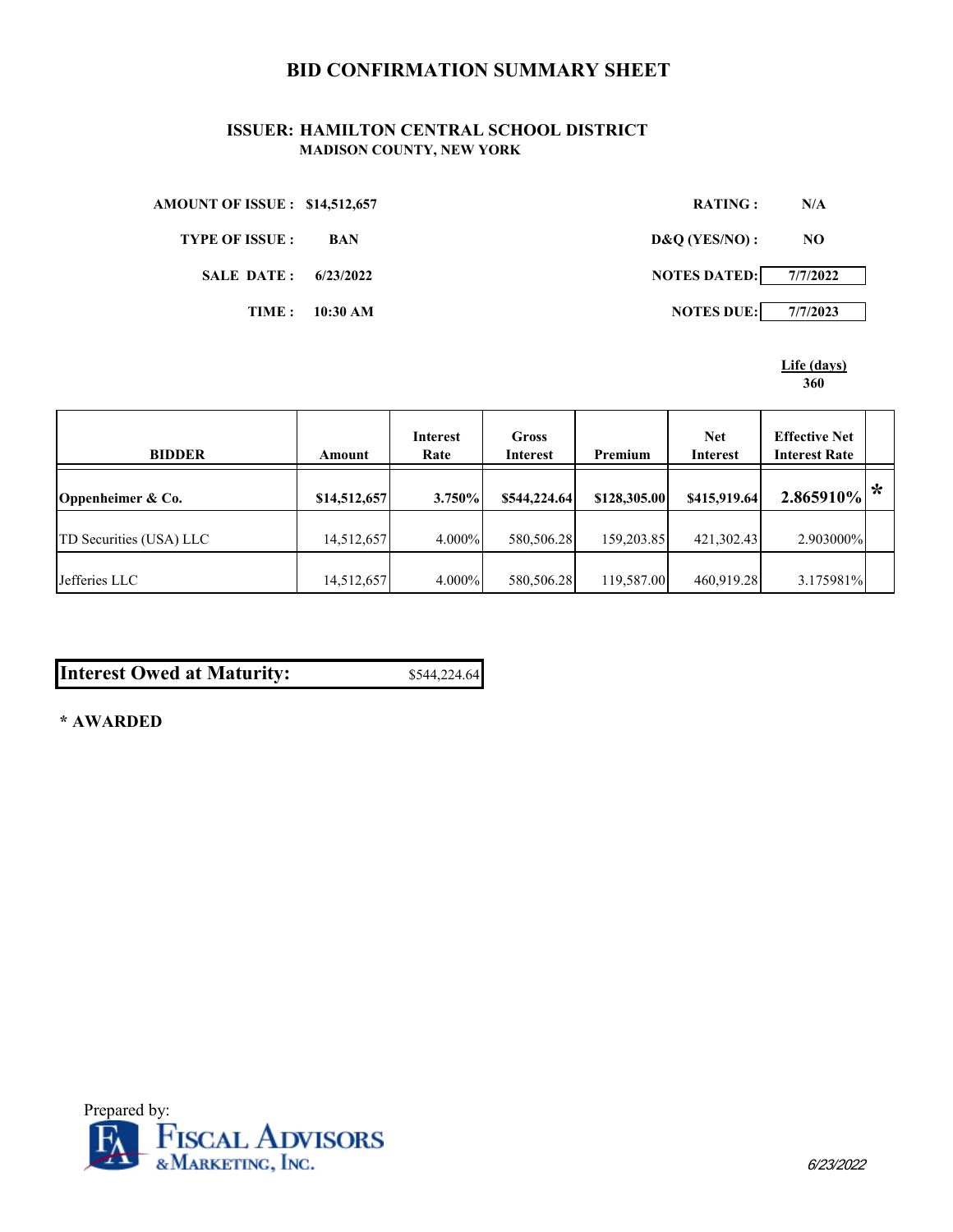## **BID CONFIRMATION SUMMARY SHEET**

## **ISSUER: HAMILTON CENTRAL SCHOOL DISTRICT MADISON COUNTY, NEW YORK**

| <b>AMOUNT OF ISSUE : \$14,512,657</b> |            | RATING:             | N/A      |
|---------------------------------------|------------|---------------------|----------|
| <b>TYPE OF ISSUE :</b>                | <b>BAN</b> | D&Q(YES/NO):        | NO.      |
| SALE DATE: 6/23/2022                  |            | <b>NOTES DATED:</b> | 7/7/2022 |
| TIME :                                | $10:30$ AM | <b>NOTES DUE:</b>   | 7/7/2023 |

**Life (days) 360**

| <b>BIDDER</b>           | Amount       | Interest<br>Rate | Gross<br>Interest | Premium      | <b>Net</b><br>Interest | <b>Effective Net</b><br><b>Interest Rate</b> |   |
|-------------------------|--------------|------------------|-------------------|--------------|------------------------|----------------------------------------------|---|
| Oppenheimer & Co.       | \$14,512,657 | $3.750\%$        | \$544,224.64      | \$128,305.00 | \$415,919.64           | 2.865910%                                    | ∗ |
| TD Securities (USA) LLC | 14,512,657   | $4.000\%$        | 580,506.28        | 159,203.85   | 421,302.43             | 2.903000%                                    |   |
| Jefferies LLC           | 14,512,657   | $4.000\%$        | 580,506.28        | 119,587.00   | 460.919.28             | 3.175981%                                    |   |

| <b>Interest Owed at Maturity:</b> | \$544,224.64 |
|-----------------------------------|--------------|
|-----------------------------------|--------------|

**\* AWARDED**